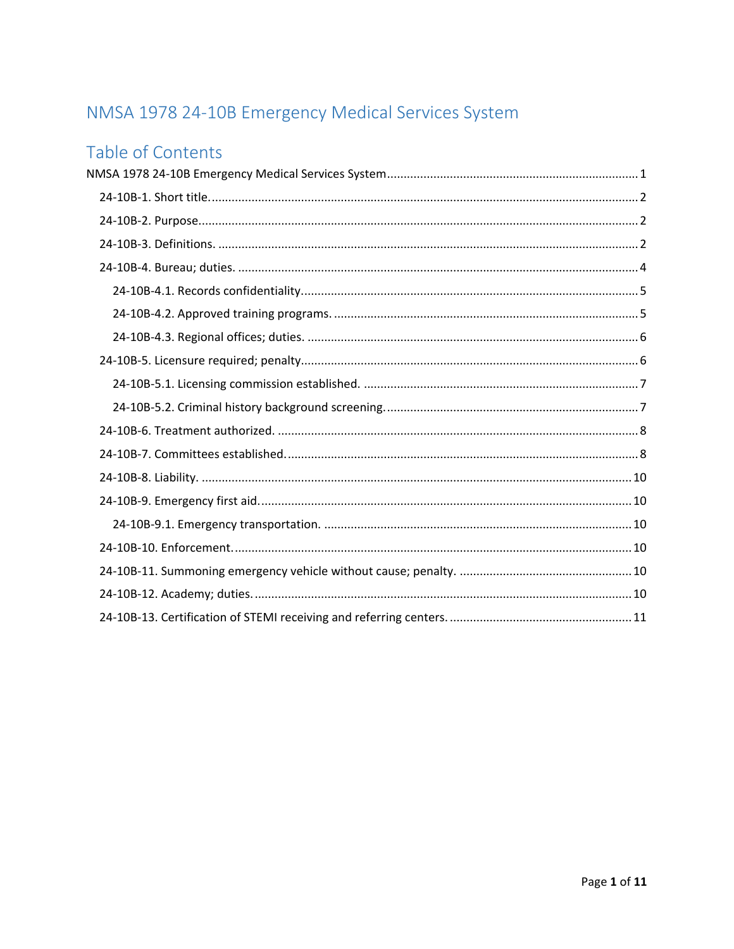# <span id="page-0-0"></span>NMSA 1978 24-10B Emergency Medical Services System

## Table of Contents

<span id="page-0-1"></span>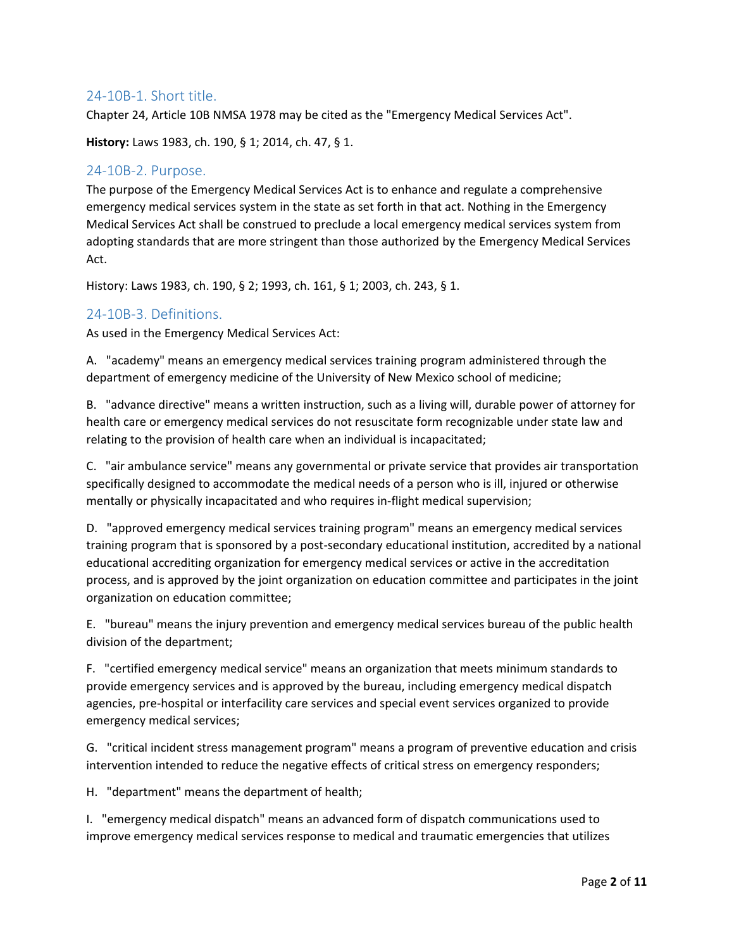## 24-10B-1. Short title.

Chapter 24, Article 10B NMSA 1978 may be cited as the "Emergency Medical Services Act".

**History:** Laws 1983, ch. 190, § 1; 2014, ch. 47, § 1.

## <span id="page-1-0"></span>24-10B-2. Purpose.

The purpose of the Emergency Medical Services Act is to enhance and regulate a comprehensive emergency medical services system in the state as set forth in that act. Nothing in the Emergency Medical Services Act shall be construed to preclude a local emergency medical services system from adopting standards that are more stringent than those authorized by the Emergency Medical Services Act.

History: Laws 1983, ch. 190, § 2; 1993, ch. 161, § 1; 2003, ch. 243, § 1.

## <span id="page-1-1"></span>24-10B-3. Definitions.

As used in the Emergency Medical Services Act:

A. "academy" means an emergency medical services training program administered through the department of emergency medicine of the University of New Mexico school of medicine;

B. "advance directive" means a written instruction, such as a living will, durable power of attorney for health care or emergency medical services do not resuscitate form recognizable under state law and relating to the provision of health care when an individual is incapacitated;

C. "air ambulance service" means any governmental or private service that provides air transportation specifically designed to accommodate the medical needs of a person who is ill, injured or otherwise mentally or physically incapacitated and who requires in-flight medical supervision;

D. "approved emergency medical services training program" means an emergency medical services training program that is sponsored by a post-secondary educational institution, accredited by a national educational accrediting organization for emergency medical services or active in the accreditation process, and is approved by the joint organization on education committee and participates in the joint organization on education committee;

E. "bureau" means the injury prevention and emergency medical services bureau of the public health division of the department;

F. "certified emergency medical service" means an organization that meets minimum standards to provide emergency services and is approved by the bureau, including emergency medical dispatch agencies, pre-hospital or interfacility care services and special event services organized to provide emergency medical services;

G. "critical incident stress management program" means a program of preventive education and crisis intervention intended to reduce the negative effects of critical stress on emergency responders;

H. "department" means the department of health;

I. "emergency medical dispatch" means an advanced form of dispatch communications used to improve emergency medical services response to medical and traumatic emergencies that utilizes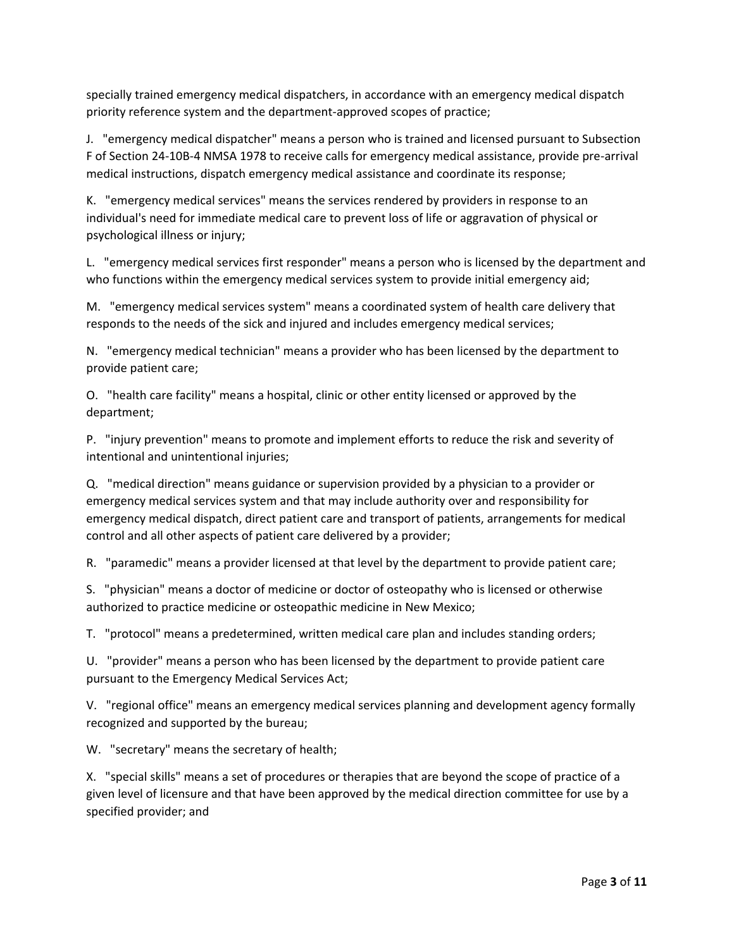specially trained emergency medical dispatchers, in accordance with an emergency medical dispatch priority reference system and the department-approved scopes of practice;

J. "emergency medical dispatcher" means a person who is trained and licensed pursuant to Subsection F of Section 24-10B-4 NMSA 1978 to receive calls for emergency medical assistance, provide pre-arrival medical instructions, dispatch emergency medical assistance and coordinate its response;

K. "emergency medical services" means the services rendered by providers in response to an individual's need for immediate medical care to prevent loss of life or aggravation of physical or psychological illness or injury;

L. "emergency medical services first responder" means a person who is licensed by the department and who functions within the emergency medical services system to provide initial emergency aid;

M. "emergency medical services system" means a coordinated system of health care delivery that responds to the needs of the sick and injured and includes emergency medical services;

N. "emergency medical technician" means a provider who has been licensed by the department to provide patient care;

O. "health care facility" means a hospital, clinic or other entity licensed or approved by the department;

P. "injury prevention" means to promote and implement efforts to reduce the risk and severity of intentional and unintentional injuries;

Q. "medical direction" means guidance or supervision provided by a physician to a provider or emergency medical services system and that may include authority over and responsibility for emergency medical dispatch, direct patient care and transport of patients, arrangements for medical control and all other aspects of patient care delivered by a provider;

R. "paramedic" means a provider licensed at that level by the department to provide patient care;

S. "physician" means a doctor of medicine or doctor of osteopathy who is licensed or otherwise authorized to practice medicine or osteopathic medicine in New Mexico;

T. "protocol" means a predetermined, written medical care plan and includes standing orders;

U. "provider" means a person who has been licensed by the department to provide patient care pursuant to the Emergency Medical Services Act;

V. "regional office" means an emergency medical services planning and development agency formally recognized and supported by the bureau;

W. "secretary" means the secretary of health;

X. "special skills" means a set of procedures or therapies that are beyond the scope of practice of a given level of licensure and that have been approved by the medical direction committee for use by a specified provider; and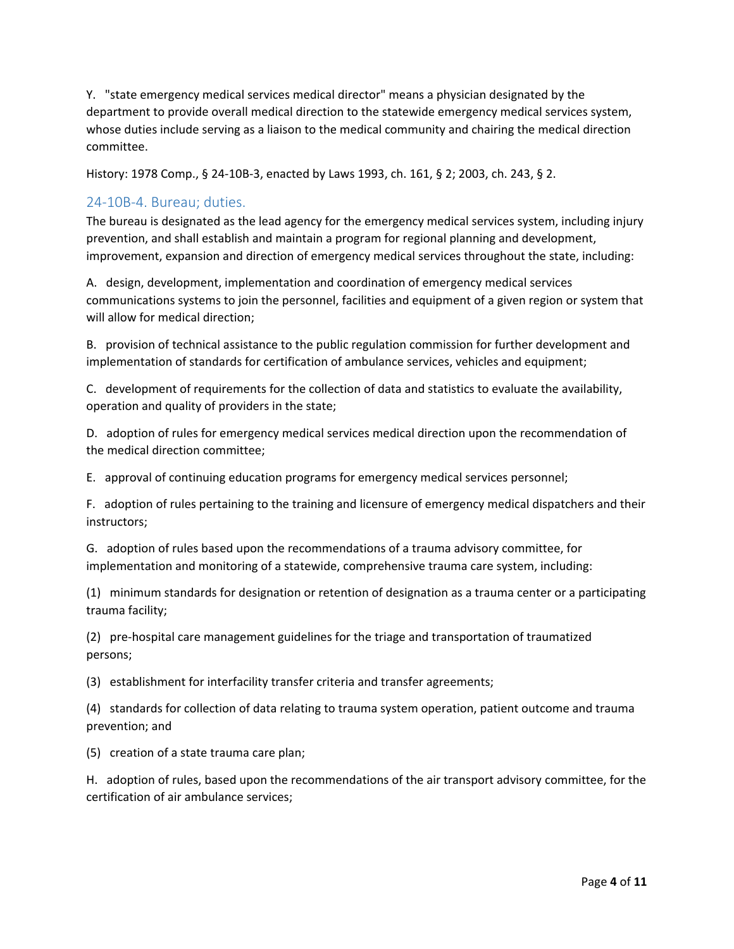Y. "state emergency medical services medical director" means a physician designated by the department to provide overall medical direction to the statewide emergency medical services system, whose duties include serving as a liaison to the medical community and chairing the medical direction committee.

History: 1978 Comp., § 24-10B-3, enacted by Laws 1993, ch. 161, § 2; 2003, ch. 243, § 2.

## <span id="page-3-0"></span>24-10B-4. Bureau; duties.

The bureau is designated as the lead agency for the emergency medical services system, including injury prevention, and shall establish and maintain a program for regional planning and development, improvement, expansion and direction of emergency medical services throughout the state, including:

A. design, development, implementation and coordination of emergency medical services communications systems to join the personnel, facilities and equipment of a given region or system that will allow for medical direction;

B. provision of technical assistance to the public regulation commission for further development and implementation of standards for certification of ambulance services, vehicles and equipment;

C. development of requirements for the collection of data and statistics to evaluate the availability, operation and quality of providers in the state;

D. adoption of rules for emergency medical services medical direction upon the recommendation of the medical direction committee;

E. approval of continuing education programs for emergency medical services personnel;

F. adoption of rules pertaining to the training and licensure of emergency medical dispatchers and their instructors;

G. adoption of rules based upon the recommendations of a trauma advisory committee, for implementation and monitoring of a statewide, comprehensive trauma care system, including:

(1) minimum standards for designation or retention of designation as a trauma center or a participating trauma facility;

(2) pre-hospital care management guidelines for the triage and transportation of traumatized persons;

(3) establishment for interfacility transfer criteria and transfer agreements;

(4) standards for collection of data relating to trauma system operation, patient outcome and trauma prevention; and

(5) creation of a state trauma care plan;

H. adoption of rules, based upon the recommendations of the air transport advisory committee, for the certification of air ambulance services;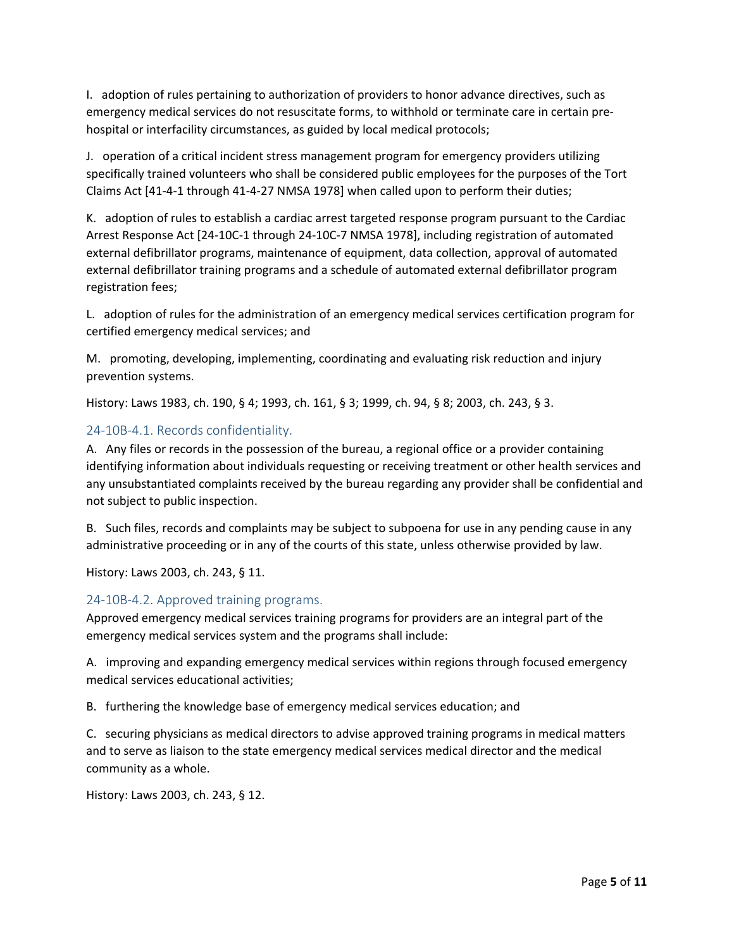I. adoption of rules pertaining to authorization of providers to honor advance directives, such as emergency medical services do not resuscitate forms, to withhold or terminate care in certain prehospital or interfacility circumstances, as guided by local medical protocols;

J. operation of a critical incident stress management program for emergency providers utilizing specifically trained volunteers who shall be considered public employees for the purposes of the Tort Claims Act [41-4-1 through 41-4-27 NMSA 1978] when called upon to perform their duties;

K. adoption of rules to establish a cardiac arrest targeted response program pursuant to the Cardiac Arrest Response Act [24-10C-1 through 24-10C-7 NMSA 1978], including registration of automated external defibrillator programs, maintenance of equipment, data collection, approval of automated external defibrillator training programs and a schedule of automated external defibrillator program registration fees;

L. adoption of rules for the administration of an emergency medical services certification program for certified emergency medical services; and

M. promoting, developing, implementing, coordinating and evaluating risk reduction and injury prevention systems.

History: Laws 1983, ch. 190, § 4; 1993, ch. 161, § 3; 1999, ch. 94, § 8; 2003, ch. 243, § 3.

#### <span id="page-4-0"></span>24-10B-4.1. Records confidentiality.

A. Any files or records in the possession of the bureau, a regional office or a provider containing identifying information about individuals requesting or receiving treatment or other health services and any unsubstantiated complaints received by the bureau regarding any provider shall be confidential and not subject to public inspection.

B. Such files, records and complaints may be subject to subpoena for use in any pending cause in any administrative proceeding or in any of the courts of this state, unless otherwise provided by law.

History: Laws 2003, ch. 243, § 11.

#### <span id="page-4-1"></span>24-10B-4.2. Approved training programs.

Approved emergency medical services training programs for providers are an integral part of the emergency medical services system and the programs shall include:

A. improving and expanding emergency medical services within regions through focused emergency medical services educational activities;

B. furthering the knowledge base of emergency medical services education; and

C. securing physicians as medical directors to advise approved training programs in medical matters and to serve as liaison to the state emergency medical services medical director and the medical community as a whole.

History: Laws 2003, ch. 243, § 12.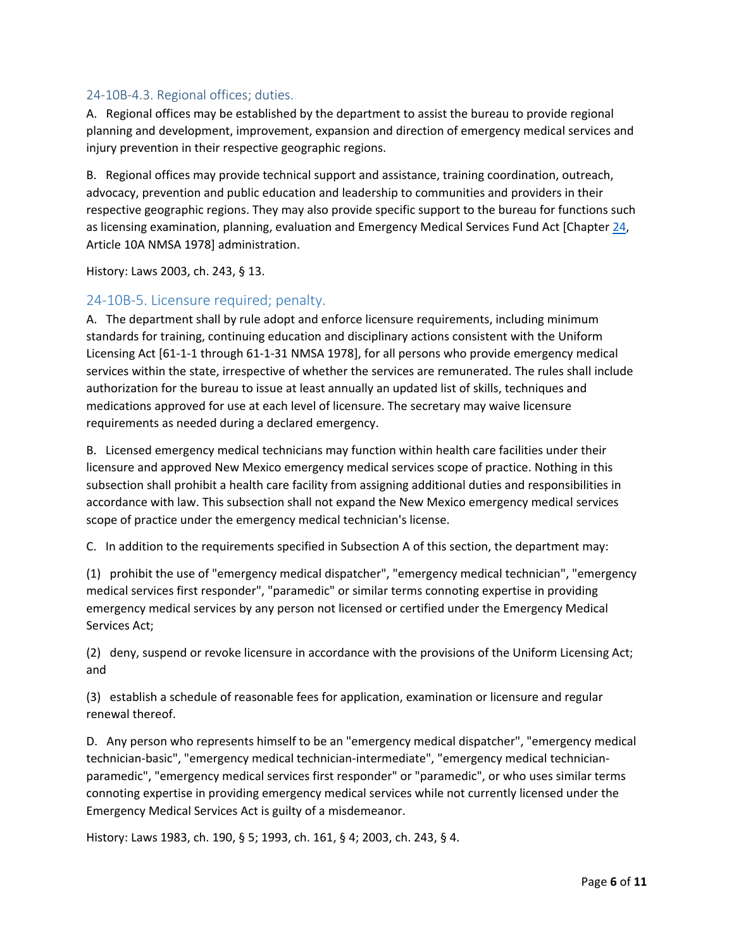#### <span id="page-5-0"></span>24-10B-4.3. Regional offices; duties.

A. Regional offices may be established by the department to assist the bureau to provide regional planning and development, improvement, expansion and direction of emergency medical services and injury prevention in their respective geographic regions.

B. Regional offices may provide technical support and assistance, training coordination, outreach, advocacy, prevention and public education and leadership to communities and providers in their respective geographic regions. They may also provide specific support to the bureau for functions such as licensing examination, planning, evaluation and Emergency Medical Services Fund Act [Chapter [24,](http://public.nmcompcomm.us/nmpublic/gateway.dll?f=jumplink$jumplink_x=Advanced$jumplink_vpc=first$jumplink_xsl=querylink.xsl$jumplink_sel=title;path;content-type;home-title;item-bookmark$jumplink_d=%7bnmsu%7d$jumplink_q=%5bfield%20folio-destination-name:) Article 10A NMSA 1978] administration.

History: Laws 2003, ch. 243, § 13.

## <span id="page-5-1"></span>24-10B-5. Licensure required; penalty.

A. The department shall by rule adopt and enforce licensure requirements, including minimum standards for training, continuing education and disciplinary actions consistent with the Uniform Licensing Act [61-1-1 through 61-1-31 NMSA 1978], for all persons who provide emergency medical services within the state, irrespective of whether the services are remunerated. The rules shall include authorization for the bureau to issue at least annually an updated list of skills, techniques and medications approved for use at each level of licensure. The secretary may waive licensure requirements as needed during a declared emergency.

B. Licensed emergency medical technicians may function within health care facilities under their licensure and approved New Mexico emergency medical services scope of practice. Nothing in this subsection shall prohibit a health care facility from assigning additional duties and responsibilities in accordance with law. This subsection shall not expand the New Mexico emergency medical services scope of practice under the emergency medical technician's license.

C. In addition to the requirements specified in Subsection A of this section, the department may:

(1) prohibit the use of "emergency medical dispatcher", "emergency medical technician", "emergency medical services first responder", "paramedic" or similar terms connoting expertise in providing emergency medical services by any person not licensed or certified under the Emergency Medical Services Act;

(2) deny, suspend or revoke licensure in accordance with the provisions of the Uniform Licensing Act; and

(3) establish a schedule of reasonable fees for application, examination or licensure and regular renewal thereof.

D. Any person who represents himself to be an "emergency medical dispatcher", "emergency medical technician-basic", "emergency medical technician-intermediate", "emergency medical technicianparamedic", "emergency medical services first responder" or "paramedic", or who uses similar terms connoting expertise in providing emergency medical services while not currently licensed under the Emergency Medical Services Act is guilty of a misdemeanor.

History: Laws 1983, ch. 190, § 5; 1993, ch. 161, § 4; 2003, ch. 243, § 4.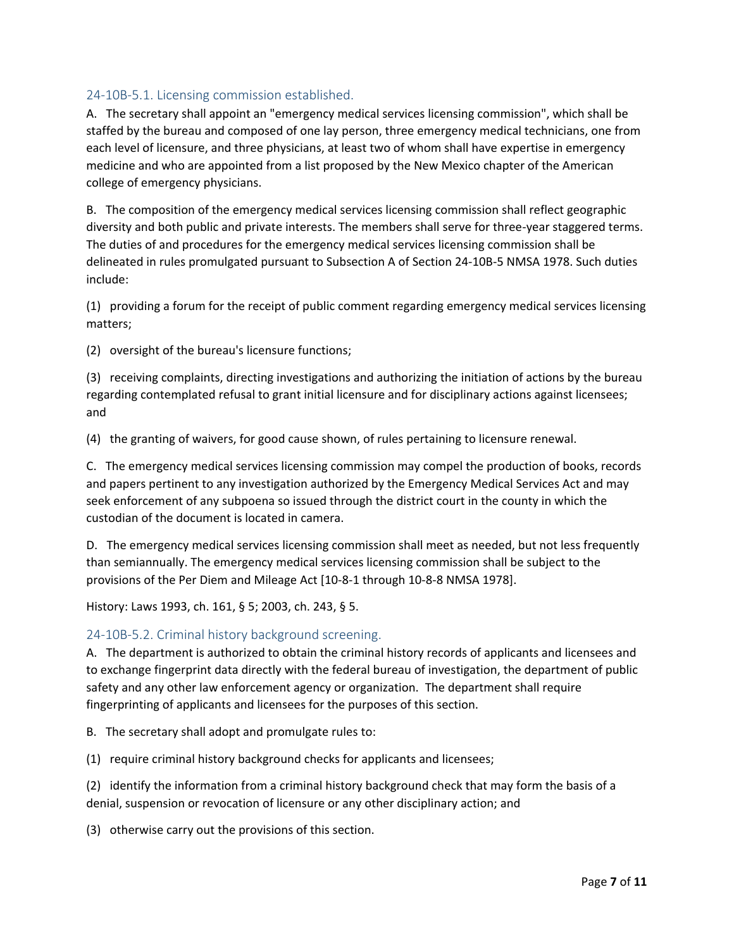## <span id="page-6-0"></span>24-10B-5.1. Licensing commission established.

A. The secretary shall appoint an "emergency medical services licensing commission", which shall be staffed by the bureau and composed of one lay person, three emergency medical technicians, one from each level of licensure, and three physicians, at least two of whom shall have expertise in emergency medicine and who are appointed from a list proposed by the New Mexico chapter of the American college of emergency physicians.

B. The composition of the emergency medical services licensing commission shall reflect geographic diversity and both public and private interests. The members shall serve for three-year staggered terms. The duties of and procedures for the emergency medical services licensing commission shall be delineated in rules promulgated pursuant to Subsection A of Section 24-10B-5 NMSA 1978. Such duties include:

(1) providing a forum for the receipt of public comment regarding emergency medical services licensing matters;

(2) oversight of the bureau's licensure functions;

(3) receiving complaints, directing investigations and authorizing the initiation of actions by the bureau regarding contemplated refusal to grant initial licensure and for disciplinary actions against licensees; and

(4) the granting of waivers, for good cause shown, of rules pertaining to licensure renewal.

C. The emergency medical services licensing commission may compel the production of books, records and papers pertinent to any investigation authorized by the Emergency Medical Services Act and may seek enforcement of any subpoena so issued through the district court in the county in which the custodian of the document is located in camera.

D. The emergency medical services licensing commission shall meet as needed, but not less frequently than semiannually. The emergency medical services licensing commission shall be subject to the provisions of the Per Diem and Mileage Act [10-8-1 through 10-8-8 NMSA 1978].

History: Laws 1993, ch. 161, § 5; 2003, ch. 243, § 5.

## <span id="page-6-1"></span>24-10B-5.2. Criminal history background screening.

A. The department is authorized to obtain the criminal history records of applicants and licensees and to exchange fingerprint data directly with the federal bureau of investigation, the department of public safety and any other law enforcement agency or organization. The department shall require fingerprinting of applicants and licensees for the purposes of this section.

B. The secretary shall adopt and promulgate rules to:

(1) require criminal history background checks for applicants and licensees;

(2) identify the information from a criminal history background check that may form the basis of a denial, suspension or revocation of licensure or any other disciplinary action; and

(3) otherwise carry out the provisions of this section.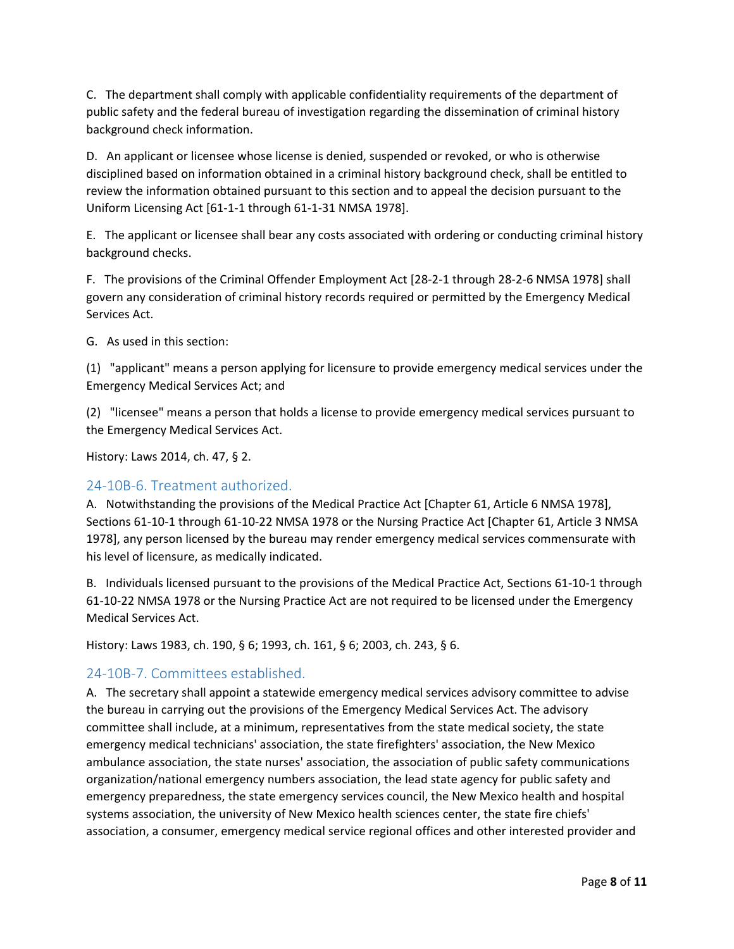C. The department shall comply with applicable confidentiality requirements of the department of public safety and the federal bureau of investigation regarding the dissemination of criminal history background check information.

D. An applicant or licensee whose license is denied, suspended or revoked, or who is otherwise disciplined based on information obtained in a criminal history background check, shall be entitled to review the information obtained pursuant to this section and to appeal the decision pursuant to the Uniform Licensing Act [61-1-1 through 61-1-31 NMSA 1978].

E. The applicant or licensee shall bear any costs associated with ordering or conducting criminal history background checks.

F. The provisions of the Criminal Offender Employment Act [28-2-1 through 28-2-6 NMSA 1978] shall govern any consideration of criminal history records required or permitted by the Emergency Medical Services Act.

G. As used in this section:

(1) "applicant" means a person applying for licensure to provide emergency medical services under the Emergency Medical Services Act; and

(2) "licensee" means a person that holds a license to provide emergency medical services pursuant to the Emergency Medical Services Act.

History: Laws 2014, ch. 47, § 2.

## <span id="page-7-0"></span>24-10B-6. Treatment authorized.

A. Notwithstanding the provisions of the Medical Practice Act [Chapter 61, Article 6 NMSA 1978], Sections 61-10-1 through 61-10-22 NMSA 1978 or the Nursing Practice Act [Chapter 61, Article 3 NMSA 1978], any person licensed by the bureau may render emergency medical services commensurate with his level of licensure, as medically indicated.

B. Individuals licensed pursuant to the provisions of the Medical Practice Act, Sections 61-10-1 through 61-10-22 NMSA 1978 or the Nursing Practice Act are not required to be licensed under the Emergency Medical Services Act.

History: Laws 1983, ch. 190, § 6; 1993, ch. 161, § 6; 2003, ch. 243, § 6.

## <span id="page-7-1"></span>24-10B-7. Committees established.

A. The secretary shall appoint a statewide emergency medical services advisory committee to advise the bureau in carrying out the provisions of the Emergency Medical Services Act. The advisory committee shall include, at a minimum, representatives from the state medical society, the state emergency medical technicians' association, the state firefighters' association, the New Mexico ambulance association, the state nurses' association, the association of public safety communications organization/national emergency numbers association, the lead state agency for public safety and emergency preparedness, the state emergency services council, the New Mexico health and hospital systems association, the university of New Mexico health sciences center, the state fire chiefs' association, a consumer, emergency medical service regional offices and other interested provider and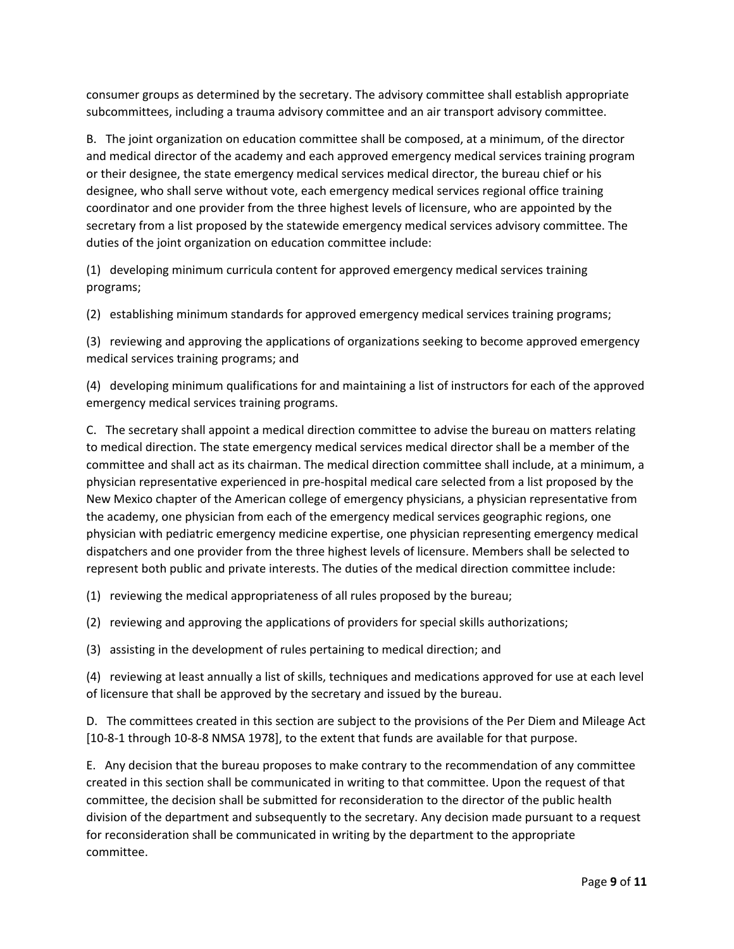consumer groups as determined by the secretary. The advisory committee shall establish appropriate subcommittees, including a trauma advisory committee and an air transport advisory committee.

B. The joint organization on education committee shall be composed, at a minimum, of the director and medical director of the academy and each approved emergency medical services training program or their designee, the state emergency medical services medical director, the bureau chief or his designee, who shall serve without vote, each emergency medical services regional office training coordinator and one provider from the three highest levels of licensure, who are appointed by the secretary from a list proposed by the statewide emergency medical services advisory committee. The duties of the joint organization on education committee include:

(1) developing minimum curricula content for approved emergency medical services training programs;

(2) establishing minimum standards for approved emergency medical services training programs;

(3) reviewing and approving the applications of organizations seeking to become approved emergency medical services training programs; and

(4) developing minimum qualifications for and maintaining a list of instructors for each of the approved emergency medical services training programs.

C. The secretary shall appoint a medical direction committee to advise the bureau on matters relating to medical direction. The state emergency medical services medical director shall be a member of the committee and shall act as its chairman. The medical direction committee shall include, at a minimum, a physician representative experienced in pre-hospital medical care selected from a list proposed by the New Mexico chapter of the American college of emergency physicians, a physician representative from the academy, one physician from each of the emergency medical services geographic regions, one physician with pediatric emergency medicine expertise, one physician representing emergency medical dispatchers and one provider from the three highest levels of licensure. Members shall be selected to represent both public and private interests. The duties of the medical direction committee include:

(1) reviewing the medical appropriateness of all rules proposed by the bureau;

(2) reviewing and approving the applications of providers for special skills authorizations;

(3) assisting in the development of rules pertaining to medical direction; and

(4) reviewing at least annually a list of skills, techniques and medications approved for use at each level of licensure that shall be approved by the secretary and issued by the bureau.

D. The committees created in this section are subject to the provisions of the Per Diem and Mileage Act [10-8-1 through 10-8-8 NMSA 1978], to the extent that funds are available for that purpose.

E. Any decision that the bureau proposes to make contrary to the recommendation of any committee created in this section shall be communicated in writing to that committee. Upon the request of that committee, the decision shall be submitted for reconsideration to the director of the public health division of the department and subsequently to the secretary. Any decision made pursuant to a request for reconsideration shall be communicated in writing by the department to the appropriate committee.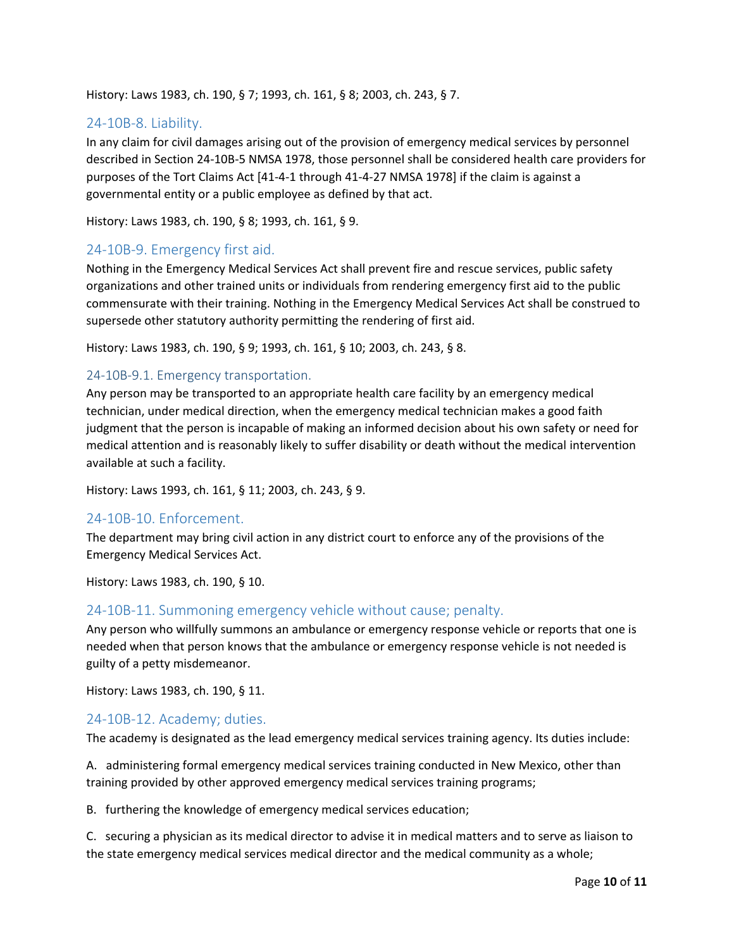History: Laws 1983, ch. 190, § 7; 1993, ch. 161, § 8; 2003, ch. 243, § 7.

## <span id="page-9-0"></span>24-10B-8. Liability.

In any claim for civil damages arising out of the provision of emergency medical services by personnel described in Section 24-10B-5 NMSA 1978, those personnel shall be considered health care providers for purposes of the Tort Claims Act [41-4-1 through 41-4-27 NMSA 1978] if the claim is against a governmental entity or a public employee as defined by that act.

History: Laws 1983, ch. 190, § 8; 1993, ch. 161, § 9.

#### <span id="page-9-1"></span>24-10B-9. Emergency first aid.

Nothing in the Emergency Medical Services Act shall prevent fire and rescue services, public safety organizations and other trained units or individuals from rendering emergency first aid to the public commensurate with their training. Nothing in the Emergency Medical Services Act shall be construed to supersede other statutory authority permitting the rendering of first aid.

History: Laws 1983, ch. 190, § 9; 1993, ch. 161, § 10; 2003, ch. 243, § 8.

#### <span id="page-9-2"></span>24-10B-9.1. Emergency transportation.

Any person may be transported to an appropriate health care facility by an emergency medical technician, under medical direction, when the emergency medical technician makes a good faith judgment that the person is incapable of making an informed decision about his own safety or need for medical attention and is reasonably likely to suffer disability or death without the medical intervention available at such a facility.

History: Laws 1993, ch. 161, § 11; 2003, ch. 243, § 9.

#### <span id="page-9-3"></span>24-10B-10. Enforcement.

The department may bring civil action in any district court to enforce any of the provisions of the Emergency Medical Services Act.

History: Laws 1983, ch. 190, § 10.

#### <span id="page-9-4"></span>24-10B-11. Summoning emergency vehicle without cause; penalty.

Any person who willfully summons an ambulance or emergency response vehicle or reports that one is needed when that person knows that the ambulance or emergency response vehicle is not needed is guilty of a petty misdemeanor.

History: Laws 1983, ch. 190, § 11.

#### <span id="page-9-5"></span>24-10B-12. Academy; duties.

The academy is designated as the lead emergency medical services training agency. Its duties include:

A. administering formal emergency medical services training conducted in New Mexico, other than training provided by other approved emergency medical services training programs;

B. furthering the knowledge of emergency medical services education;

C. securing a physician as its medical director to advise it in medical matters and to serve as liaison to the state emergency medical services medical director and the medical community as a whole;